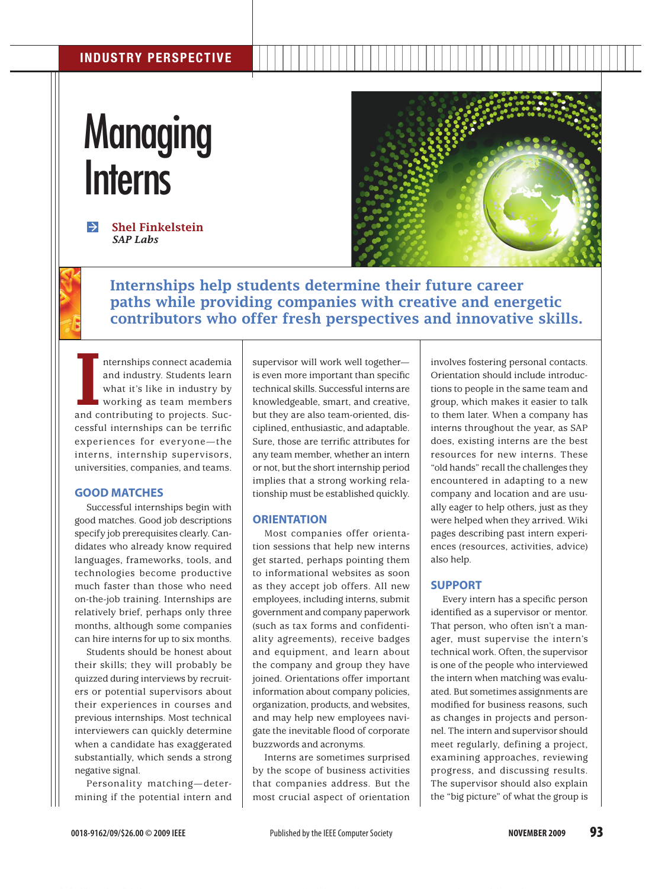# **Managing Interns**





Internships help students determine their future career paths while providing companies with creative and energetic contributors who offer fresh perspectives and innovative skills.

nternships connect academia<br>
and industry. Students learn<br>
what it's like in industry by<br>
working as team members<br>
and contributing to projects. Sucnternships connect academia and industry. Students learn what it's like in industry by working as team members cessful internships can be terrific experiences for everyone—the interns, internship supervisors, universities, companies, and teams.

# **GOOD MATCHES**

Successful internships begin with good matches. Good job descriptions specify job prerequisites clearly. Candidates who already know required languages, frameworks, tools, and technologies become productive much faster than those who need on-the-job training. Internships are relatively brief, perhaps only three months, although some companies can hire interns for up to six months.

Students should be honest about their skills; they will probably be quizzed during interviews by recruiters or potential supervisors about their experiences in courses and previous internships. Most technical interviewers can quickly determine when a candidate has exaggerated substantially, which sends a strong negative signal.

Personality matching—determining if the potential intern and supervisor will work well together is even more important than specific technical skills. Successful interns are knowledgeable, smart, and creative, but they are also team-oriented, disciplined, enthusiastic, and adaptable. Sure, those are terrific attributes for any team member, whether an intern or not, but the short internship period implies that a strong working relationship must be established quickly.

### **ORIENTATION**

Most companies offer orientation sessions that help new interns get started, perhaps pointing them to informational websites as soon as they accept job offers. All new employees, including interns, submit government and company paperwork (such as tax forms and confidentiality agreements), receive badges and equipment, and learn about the company and group they have joined. Orientations offer important information about company policies, organization, products, and websites, and may help new employees navigate the inevitable flood of corporate buzzwords and acronyms.

Interns are sometimes surprised by the scope of business activities that companies address. But the most crucial aspect of orientation involves fostering personal contacts. Orientation should include introductions to people in the same team and group, which makes it easier to talk to them later. When a company has interns throughout the year, as SAP does, existing interns are the best resources for new interns. These "old hands" recall the challenges they encountered in adapting to a new company and location and are usually eager to help others, just as they were helped when they arrived. Wiki pages describing past intern experiences (resources, activities, advice) also help.

## **SUPPORT**

Every intern has a specific person identified as a supervisor or mentor. That person, who often isn't a manager, must supervise the intern's technical work. Often, the supervisor is one of the people who interviewed the intern when matching was evaluated. But sometimes assignments are modified for business reasons, such as changes in projects and personnel. The intern and supervisor should meet regularly, defining a project, examining approaches, reviewing progress, and discussing results. The supervisor should also explain the "big picture" of what the group is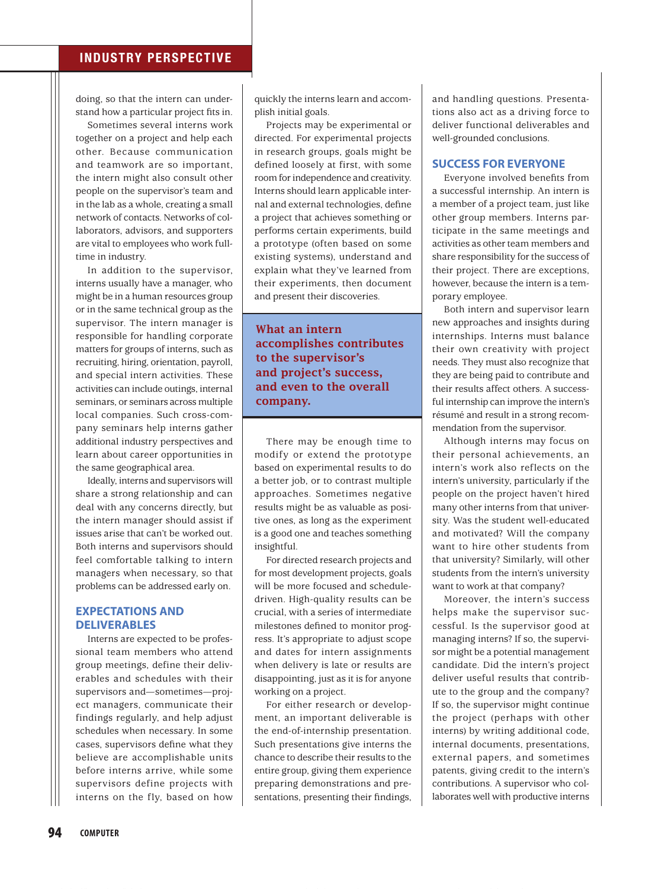# INDUSTRY PERSPECTIVE

doing, so that the intern can understand how a particular project fits in.

Sometimes several interns work together on a project and help each other. Because communication and teamwork are so important, the intern might also consult other people on the supervisor's team and in the lab as a whole, creating a small network of contacts. Networks of collaborators, advisors, and supporters are vital to employees who work fulltime in industry.

In addition to the supervisor, interns usually have a manager, who might be in a human resources group or in the same technical group as the supervisor. The intern manager is responsible for handling corporate matters for groups of interns, such as recruiting, hiring, orientation, payroll, and special intern activities. These activities can include outings, internal seminars, or seminars across multiple local companies. Such cross-company seminars help interns gather additional industry perspectives and learn about career opportunities in the same geographical area.

Ideally, interns and supervisors will share a strong relationship and can deal with any concerns directly, but the intern manager should assist if issues arise that can't be worked out. Both interns and supervisors should feel comfortable talking to intern managers when necessary, so that problems can be addressed early on.

# **EXPECTATIONS AND DELIVERABLES**

Interns are expected to be professional team members who attend group meetings, define their deliverables and schedules with their supervisors and—sometimes—project managers, communicate their findings regularly, and help adjust schedules when necessary. In some cases, supervisors define what they believe are accomplishable units before interns arrive, while some supervisors define projects with interns on the fly, based on how quickly the interns learn and accomplish initial goals.

Projects may be experimental or directed. For experimental projects in research groups, goals might be defined loosely at first, with some room for independence and creativity. Interns should learn applicable internal and external technologies, define a project that achieves something or performs certain experiments, build a prototype (often based on some existing systems), understand and explain what they've learned from their experiments, then document and present their discoveries.

What an intern accomplishes contributes to the supervisor's and project's success, and even to the overall company.

There may be enough time to modify or extend the prototype based on experimental results to do a better job, or to contrast multiple approaches. Sometimes negative results might be as valuable as positive ones, as long as the experiment is a good one and teaches something insightful.

For directed research projects and for most development projects, goals will be more focused and scheduledriven. High-quality results can be crucial, with a series of intermediate milestones defined to monitor progress. It's appropriate to adjust scope and dates for intern assignments when delivery is late or results are disappointing, just as it is for anyone working on a project.

For either research or development, an important deliverable is the end-of-internship presentation. Such presentations give interns the chance to describe their results to the entire group, giving them experience preparing demonstrations and presentations, presenting their findings, and handling questions. Presentations also act as a driving force to deliver functional deliverables and well-grounded conclusions.

# **SUCCESS FOR EVERYONE**

Everyone involved benefits from a successful internship. An intern is a member of a project team, just like other group members. Interns participate in the same meetings and activities as other team members and share responsibility for the success of their project. There are exceptions, however, because the intern is a temporary employee.

Both intern and supervisor learn new approaches and insights during internships. Interns must balance their own creativity with project needs. They must also recognize that they are being paid to contribute and their results affect others. A successful internship can improve the intern's résumé and result in a strong recommendation from the supervisor.

Although interns may focus on their personal achievements, an intern's work also reflects on the intern's university, particularly if the people on the project haven't hired many other interns from that university. Was the student well-educated and motivated? Will the company want to hire other students from that university? Similarly, will other students from the intern's university want to work at that company?

Moreover, the intern's success helps make the supervisor successful. Is the supervisor good at managing interns? If so, the supervisor might be a potential management candidate. Did the intern's project deliver useful results that contribute to the group and the company? If so, the supervisor might continue the project (perhaps with other interns) by writing additional code, internal documents, presentations, external papers, and sometimes patents, giving credit to the intern's contributions. A supervisor who collaborates well with productive interns